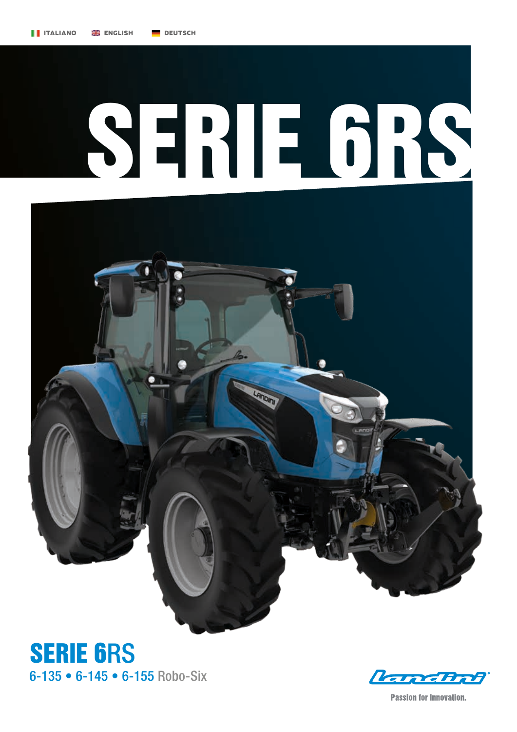## SERIE 6RS







**Passion for Innovation.**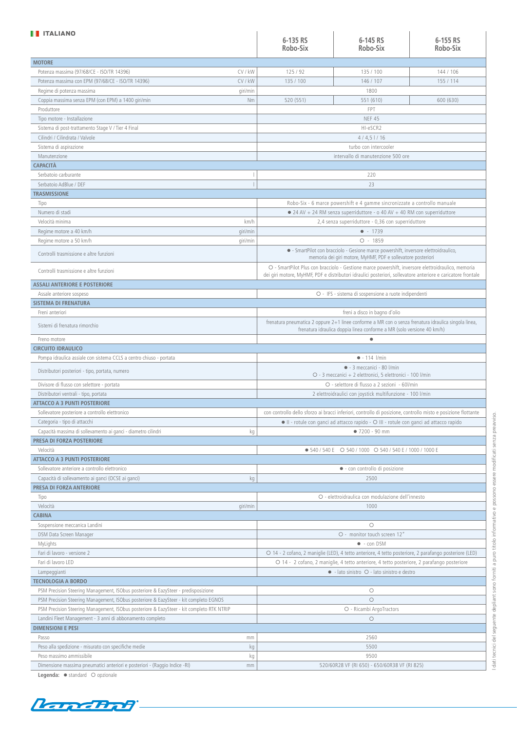| <b>TE ITALIANO</b>                                                                        |                                                                                                                                                                                                                    |                                                                                   |           |  |  |
|-------------------------------------------------------------------------------------------|--------------------------------------------------------------------------------------------------------------------------------------------------------------------------------------------------------------------|-----------------------------------------------------------------------------------|-----------|--|--|
|                                                                                           | 6-135 RS                                                                                                                                                                                                           | 6-145 RS                                                                          | 6-155 RS  |  |  |
|                                                                                           | Robo-Six                                                                                                                                                                                                           | Robo-Six                                                                          | Robo-Six  |  |  |
| <b>MOTORE</b>                                                                             |                                                                                                                                                                                                                    |                                                                                   |           |  |  |
| Potenza massima (97/68/CE - ISO/TR 14396)<br>CV / kW                                      | 125/92                                                                                                                                                                                                             | 135 / 100                                                                         | 144 / 106 |  |  |
| CV / kW<br>Potenza massima con EPM (97/68/CE - ISO/TR 14396)                              | 135 / 100                                                                                                                                                                                                          | 146 / 107                                                                         | 155 / 114 |  |  |
|                                                                                           |                                                                                                                                                                                                                    | 1800                                                                              |           |  |  |
| qiri/min<br>Regime di potenza massima                                                     |                                                                                                                                                                                                                    |                                                                                   |           |  |  |
| Coppia massima senza EPM (con EPM) a 1400 giri/min<br>Nm                                  | 520 (551)                                                                                                                                                                                                          | 551 (610)                                                                         | 600 (630) |  |  |
| Produttore                                                                                |                                                                                                                                                                                                                    | <b>FPT</b>                                                                        |           |  |  |
| Tipo motore - Installazione                                                               |                                                                                                                                                                                                                    | <b>NEF 45</b>                                                                     |           |  |  |
| Sistema di post-trattamento Stage V / Tier 4 Final                                        |                                                                                                                                                                                                                    | HI-eSCR2                                                                          |           |  |  |
| Cilindri / Cilindrata / Valvole                                                           |                                                                                                                                                                                                                    | 4/4,5/16                                                                          |           |  |  |
| Sistema di aspirazione                                                                    |                                                                                                                                                                                                                    | turbo con intercooler                                                             |           |  |  |
| Manutenzione                                                                              |                                                                                                                                                                                                                    | intervallo di manutenzione 500 ore                                                |           |  |  |
| <b>CAPACITÀ</b>                                                                           |                                                                                                                                                                                                                    |                                                                                   |           |  |  |
| Serbatoio carburante                                                                      |                                                                                                                                                                                                                    | 220                                                                               |           |  |  |
| Serbatoio AdBlue / DEF                                                                    |                                                                                                                                                                                                                    | 23                                                                                |           |  |  |
| <b>TRASMISSIONE</b>                                                                       |                                                                                                                                                                                                                    |                                                                                   |           |  |  |
| Tipo                                                                                      |                                                                                                                                                                                                                    | Robo-Six - 6 marce powershift e 4 gamme sincronizzate a controllo manuale         |           |  |  |
| Numero di stadi                                                                           |                                                                                                                                                                                                                    | $\bullet$ 24 AV + 24 RM senza superriduttore - o 40 AV + 40 RM con superriduttore |           |  |  |
| km/h<br>Velocità minima                                                                   |                                                                                                                                                                                                                    | 2,4 senza superriduttore - 0,36 con superriduttore                                |           |  |  |
| Regime motore a 40 km/h                                                                   |                                                                                                                                                                                                                    | $-1739$                                                                           |           |  |  |
| giri/min                                                                                  |                                                                                                                                                                                                                    |                                                                                   |           |  |  |
| Regime motore a 50 km/h<br>giri/min                                                       |                                                                                                                                                                                                                    | $O - 1859$                                                                        |           |  |  |
| Controlli trasmissione e altre funzioni                                                   | · SmartPilot con bracciolo - Gesione marce powershift, inversore elettroidraulico,<br>memoria dei giri motore, MyHMF, PDF e sollevatore posteriori                                                                 |                                                                                   |           |  |  |
| Controlli trasmissione e altre funzioni                                                   | O - SmartPilot Plus con bracciolo - Gestione marce powershift, inversore elettroidraulico, memoria<br>dei giri motore, MyHMF, PDF e distributori idraulici posteriori, sollevatore anteriore e caricatore frontale |                                                                                   |           |  |  |
| <b>ASSALI ANTERIORE E POSTERIORE</b>                                                      |                                                                                                                                                                                                                    |                                                                                   |           |  |  |
| Assale anteriore sospeso                                                                  | O - IFS - sistema di sospensione a ruote indipendenti                                                                                                                                                              |                                                                                   |           |  |  |
| <b>SISTEMA DI FRENATURA</b>                                                               |                                                                                                                                                                                                                    |                                                                                   |           |  |  |
| Freni anteriori                                                                           |                                                                                                                                                                                                                    | freni a disco in bagno d'olio                                                     |           |  |  |
|                                                                                           |                                                                                                                                                                                                                    |                                                                                   |           |  |  |
| Sistemi di frenatura rimorchio                                                            | frenatura pneumatica 2 oppure 2+1 linee conforme a MR con o senza frenatura idraulica singola linea,<br>frenatura idraulica doppia linea conforme a MR (solo versione 40 km/h)                                     |                                                                                   |           |  |  |
| Freno motore                                                                              |                                                                                                                                                                                                                    | $\bullet$                                                                         |           |  |  |
| <b>CIRCUITO IDRAULICO</b>                                                                 |                                                                                                                                                                                                                    |                                                                                   |           |  |  |
| Pompa idraulica assiale con sistema CCLS a centro chiuso - portata                        |                                                                                                                                                                                                                    | $-114$ l/min                                                                      |           |  |  |
| Distributori posteriori - tipo, portata, numero                                           | $\bullet$ - 3 meccanici - 80 l/min<br>O - 3 meccanici + 2 elettronici. 5 elettronici - 100 l/min                                                                                                                   |                                                                                   |           |  |  |
| Divisore di flusso con selettore - portata                                                | O - selettore di flusso a 2 sezioni - 60l/min                                                                                                                                                                      |                                                                                   |           |  |  |
| Distributori ventrali - tipo, portata                                                     | 2 elettroidraulici con joystick multifunzione - 100 l/min                                                                                                                                                          |                                                                                   |           |  |  |
| <b>ATTACCO A 3 PUNTI POSTERIORE</b>                                                       |                                                                                                                                                                                                                    |                                                                                   |           |  |  |
| Sollevatore posteriore a controllo elettronico                                            |                                                                                                                                                                                                                    |                                                                                   |           |  |  |
|                                                                                           | con controllo dello sforzo ai bracci inferiori, controllo di posizione, controllo misto e posizione flottante                                                                                                      |                                                                                   |           |  |  |
| Categoria - tipo di attacchi                                                              | • Il - rotule con ganci ad attacco rapido - O III - rotule con ganci ad attacco rapido                                                                                                                             |                                                                                   |           |  |  |
| Capacità massima di sollevamento ai ganci - diametro cilindri<br>kg                       |                                                                                                                                                                                                                    | • 7200 - 90 mm                                                                    |           |  |  |
| PRESA DI FORZA POSTERIORE                                                                 |                                                                                                                                                                                                                    |                                                                                   |           |  |  |
| Velocità                                                                                  |                                                                                                                                                                                                                    | • 540 / 540 E O 540 / 1000 O 540 / 540 E / 1000 / 1000 E                          |           |  |  |
| <b>ATTACCO A 3 PUNTI POSTERIORE</b>                                                       |                                                                                                                                                                                                                    |                                                                                   |           |  |  |
| Sollevatore anteriore a controllo elettronico                                             |                                                                                                                                                                                                                    | · con controllo di posizione                                                      |           |  |  |
| Capacità di sollevamento ai ganci (OCSE ai ganci)<br>kg                                   |                                                                                                                                                                                                                    | 2500                                                                              |           |  |  |
| PRESA DI FORZA ANTERIORE                                                                  |                                                                                                                                                                                                                    |                                                                                   |           |  |  |
| Tipo                                                                                      |                                                                                                                                                                                                                    | O - elettroidraulica con modulazione dell'innesto                                 |           |  |  |
| Velocità<br>giri/min                                                                      |                                                                                                                                                                                                                    | 1000                                                                              |           |  |  |
| <b>CABINA</b>                                                                             |                                                                                                                                                                                                                    |                                                                                   |           |  |  |
| Sospensione meccanica Landini                                                             |                                                                                                                                                                                                                    | $\circ$                                                                           |           |  |  |
| DSM Data Screen Manager                                                                   | O - monitor touch screen 12"                                                                                                                                                                                       |                                                                                   |           |  |  |
| MyLights                                                                                  | • - con DSM                                                                                                                                                                                                        |                                                                                   |           |  |  |
| Fari di lavoro - versione 2                                                               | O 14 - 2 cofano, 2 maniglie (LED), 4 tetto anteriore, 4 tetto posteriore, 2 parafango posteriore (LED)                                                                                                             |                                                                                   |           |  |  |
| Fari di lavoro LED                                                                        | O 14 - 2 cofano, 2 maniglie, 4 tetto anteriore, 4 tetto posteriore, 2 parafango posteriore                                                                                                                         |                                                                                   |           |  |  |
|                                                                                           |                                                                                                                                                                                                                    |                                                                                   |           |  |  |
| Lampeggianti                                                                              |                                                                                                                                                                                                                    | $\bullet$ - lato sinistro $\circ$ - lato sinistro e destro                        |           |  |  |
| <b>TECNOLOGIA A BORDO</b>                                                                 |                                                                                                                                                                                                                    | $\bigcirc$                                                                        |           |  |  |
| PSM Precision Steering Management, ISObus posteriore & EazySteer - predisposizione        |                                                                                                                                                                                                                    |                                                                                   |           |  |  |
| PSM Precision Steering Management, ISObus posteriore & EazySteer - kit completo EGNOS     | $\circ$                                                                                                                                                                                                            |                                                                                   |           |  |  |
| PSM Precision Steering Management, ISObus posteriore & EazySteer - kit completo RTK NTRIP | O - Ricambi ArgoTractors                                                                                                                                                                                           |                                                                                   |           |  |  |
| Landini Fleet Management - 3 anni di abbonamento completo                                 |                                                                                                                                                                                                                    |                                                                                   |           |  |  |
|                                                                                           |                                                                                                                                                                                                                    | $\bigcirc$                                                                        |           |  |  |
| <b>DIMENSIONI E PESI</b>                                                                  |                                                                                                                                                                                                                    |                                                                                   |           |  |  |
| Passo<br>mm                                                                               |                                                                                                                                                                                                                    | 2560                                                                              |           |  |  |
| Peso alla spedizione - misurato con specifiche medie<br>kg                                |                                                                                                                                                                                                                    | 5500                                                                              |           |  |  |
| Peso massimo ammissibile<br>kg                                                            |                                                                                                                                                                                                                    | 9500                                                                              |           |  |  |
| Dimensione massima pneumatici anteriori e posteriori - (Raggio Indice -RI)<br>mm          |                                                                                                                                                                                                                    | 520/60R28 VF (RI 650) - 650/60R38 VF (RI 825)                                     |           |  |  |

**Legenda:** ● standard ○ opzionale



I dati tecnici del seguente depliant sono forniti a puro titolo informativo e possono essere modificati senza preavviso. I dati tecnici del seguente depliant sono forniti a puro titolo informativo e possono essere modificati senza preavviso.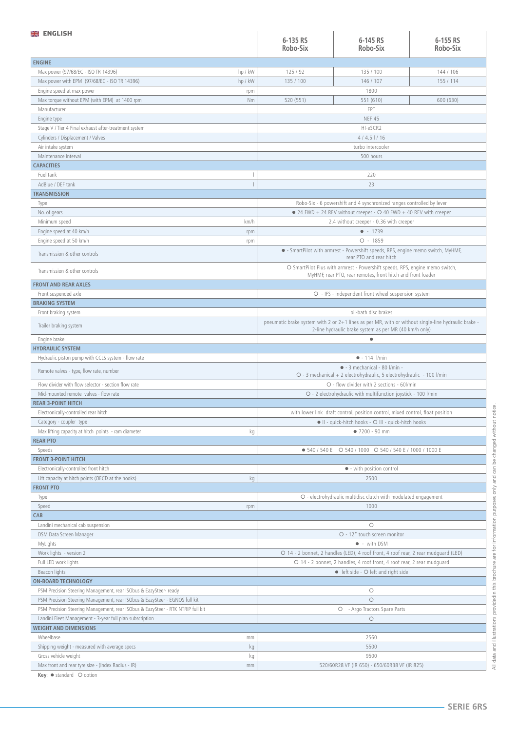| <b>ENGLISH</b>                                                                  |         |                                                                                                                                                               |                                                                                                           |           |  |  |
|---------------------------------------------------------------------------------|---------|---------------------------------------------------------------------------------------------------------------------------------------------------------------|-----------------------------------------------------------------------------------------------------------|-----------|--|--|
|                                                                                 |         | 6-135 RS                                                                                                                                                      | 6-145 RS                                                                                                  | 6-155 RS  |  |  |
|                                                                                 |         | Robo-Six                                                                                                                                                      | Robo-Six                                                                                                  | Robo-Six  |  |  |
| <b>ENGINE</b>                                                                   |         |                                                                                                                                                               |                                                                                                           |           |  |  |
| Max power (97/68/EC - ISO TR 14396)                                             | hp / kW | 125/92                                                                                                                                                        | 135 / 100                                                                                                 | 144 / 106 |  |  |
| Max power with EPM (97/68/EC - ISO TR 14396)                                    | hp / kW | 135 / 100                                                                                                                                                     | 146 / 107                                                                                                 | 155 / 114 |  |  |
| Engine speed at max power                                                       | rpm     |                                                                                                                                                               | 1800                                                                                                      |           |  |  |
| Max torque without EPM (with EPM) at 1400 rpm                                   | Nm      | 520 (551)                                                                                                                                                     | 551 (610)                                                                                                 | 600 (630) |  |  |
| Manufacturer                                                                    |         |                                                                                                                                                               | FPT                                                                                                       |           |  |  |
| Engine type                                                                     |         |                                                                                                                                                               | <b>NEF 45</b>                                                                                             |           |  |  |
| Stage V / Tier 4 Final exhaust after-treatment system                           |         |                                                                                                                                                               | HI-eSCR2                                                                                                  |           |  |  |
| Cylinders / Displacement / Valves                                               |         |                                                                                                                                                               | $4/4.5$ $1/16$                                                                                            |           |  |  |
| Air intake system                                                               |         |                                                                                                                                                               | turbo intercooler                                                                                         |           |  |  |
| Maintenance interval                                                            |         |                                                                                                                                                               | 500 hours                                                                                                 |           |  |  |
| <b>CAPACITIES</b>                                                               |         |                                                                                                                                                               |                                                                                                           |           |  |  |
| Fuel tank                                                                       |         |                                                                                                                                                               | 220                                                                                                       |           |  |  |
| AdBlue / DEF tank                                                               |         |                                                                                                                                                               | 23                                                                                                        |           |  |  |
| <b>TRANSMISSION</b>                                                             |         |                                                                                                                                                               |                                                                                                           |           |  |  |
| Type                                                                            |         |                                                                                                                                                               | Robo-Six - 6 powershift and 4 synchronized ranges controlled by lever                                     |           |  |  |
| No. of gears                                                                    |         |                                                                                                                                                               | $\bullet$ 24 FWD + 24 REV without creeper - $\circ$ 40 FWD + 40 REV with creeper                          |           |  |  |
| Minimum speed                                                                   | km/h    |                                                                                                                                                               | 2.4 without creeper - 0.36 with creeper                                                                   |           |  |  |
| Engine speed at 40 km/h                                                         | rpm     |                                                                                                                                                               | $-1739$                                                                                                   |           |  |  |
| Engine speed at 50 km/h                                                         | rpm     |                                                                                                                                                               | $O - 1859$                                                                                                |           |  |  |
| Transmission & other controls                                                   |         |                                                                                                                                                               | • SmartPilot with armrest - Powershift speeds, RPS, engine memo switch, MyHMF,<br>rear PTO and rear hitch |           |  |  |
| Transmission & other controls                                                   |         | O SmartPilot Plus with armrest - Powershift speeds, RPS, engine memo switch,<br>MyHMF, rear PTO, rear remotes, front hitch and front loader                   |                                                                                                           |           |  |  |
| <b>FRONT AND REAR AXLES</b>                                                     |         |                                                                                                                                                               |                                                                                                           |           |  |  |
| Front suspended axle                                                            |         |                                                                                                                                                               | O - IFS - independent front wheel suspension system                                                       |           |  |  |
| <b>BRAKING SYSTEM</b>                                                           |         |                                                                                                                                                               |                                                                                                           |           |  |  |
| Front braking system                                                            |         |                                                                                                                                                               | oil-bath disc brakes                                                                                      |           |  |  |
| Trailer braking system                                                          |         | pneumatic brake system with 2 or 2+1 lines as per MR, with or without single-line hydraulic brake -<br>2-line hydraulic brake system as per MR (40 km/h only) |                                                                                                           |           |  |  |
| Engine brake                                                                    |         |                                                                                                                                                               | $\bullet$                                                                                                 |           |  |  |
| <b>HYDRAULIC SYSTEM</b>                                                         |         |                                                                                                                                                               |                                                                                                           |           |  |  |
| Hydraulic piston pump with CCLS system - flow rate                              |         | $-114$ l/min                                                                                                                                                  |                                                                                                           |           |  |  |
| Remote valves - type, flow rate, number                                         |         | $\bullet$ - 3 mechanical - 80 l/min -<br>O - 3 mechanical + 2 electrohydraulic, 5 electrohydraulic - 100 l/min                                                |                                                                                                           |           |  |  |
| Flow divider with flow selector - section flow rate                             |         | O - flow divider with 2 sections - 60l/min                                                                                                                    |                                                                                                           |           |  |  |
| Mid-mounted remote valves - flow rate                                           |         | O - 2 electrohydraulic with multifunction joystick - 100 l/min                                                                                                |                                                                                                           |           |  |  |
| <b>REAR 3-POINT HITCH</b>                                                       |         |                                                                                                                                                               |                                                                                                           |           |  |  |
| Electronically-controlled rear hitch                                            |         | with lower link draft control, position control, mixed control, float position                                                                                |                                                                                                           |           |  |  |
| Category - coupler type                                                         |         | II - quick-hitch hooks - O III - quick-hitch hooks                                                                                                            |                                                                                                           |           |  |  |
| Max lifting capacity at hitch points - ram diameter                             | kg      | $•7200 - 90 mm$                                                                                                                                               |                                                                                                           |           |  |  |
| <b>REAR PTO</b>                                                                 |         |                                                                                                                                                               |                                                                                                           |           |  |  |
| Speeds                                                                          |         |                                                                                                                                                               | • 540 / 540 E O 540 / 1000 O 540 / 540 E / 1000 / 1000 E                                                  |           |  |  |
| <b>FRONT 3-POINT HITCH</b>                                                      |         |                                                                                                                                                               |                                                                                                           |           |  |  |
| Electronically-controlled front hitch                                           |         |                                                                                                                                                               | • - with position control                                                                                 |           |  |  |
| Lift capacity at hitch points (OECD at the hooks)                               | kg      | 2500                                                                                                                                                          |                                                                                                           |           |  |  |
| <b>FRONT PTO</b>                                                                |         |                                                                                                                                                               |                                                                                                           |           |  |  |
| Type                                                                            |         |                                                                                                                                                               | O - electrohydraulic multidisc clutch with modulated engagement                                           |           |  |  |
| Speed                                                                           | rpm     |                                                                                                                                                               | 1000                                                                                                      |           |  |  |
| <b>CAB</b>                                                                      |         |                                                                                                                                                               |                                                                                                           |           |  |  |
| Landini mechanical cab suspension                                               |         |                                                                                                                                                               | $\circ$                                                                                                   |           |  |  |
| DSM Data Screen Manager                                                         |         | O - 12" touch screen monitor                                                                                                                                  |                                                                                                           |           |  |  |
| MyLights                                                                        |         | • - with DSM                                                                                                                                                  |                                                                                                           |           |  |  |
| Work lights - version 2                                                         |         | O 14 - 2 bonnet, 2 handles (LED), 4 roof front, 4 roof rear, 2 rear mudguard (LED)                                                                            |                                                                                                           |           |  |  |
| Full LED work lights                                                            |         | O 14 - 2 bonnet, 2 handles, 4 roof front, 4 roof rear, 2 rear mudguard                                                                                        |                                                                                                           |           |  |  |
| Beacon lights                                                                   |         |                                                                                                                                                               | • left side - O left and right side                                                                       |           |  |  |
| <b>ON-BOARD TECHNOLOGY</b>                                                      |         |                                                                                                                                                               |                                                                                                           |           |  |  |
| PSM Precision Steering Management, rear ISObus & EazySteer- ready               |         |                                                                                                                                                               | $\bigcirc$                                                                                                |           |  |  |
| PSM Precision Steering Management, rear ISObus & EazySteer - EGNOS full kit     |         |                                                                                                                                                               | $\circ$                                                                                                   |           |  |  |
| PSM Precision Steering Management, rear ISObus & EazySteer - RTK NTRIP full kit |         |                                                                                                                                                               | O - Argo Tractors Spare Parts                                                                             |           |  |  |
| Landini Fleet Management - 3-year full plan subscription                        |         |                                                                                                                                                               | $\circ$                                                                                                   |           |  |  |
| <b>WEIGHT AND DIMENSIONS</b>                                                    |         |                                                                                                                                                               |                                                                                                           |           |  |  |
| Wheelbase                                                                       | mm      |                                                                                                                                                               | 2560                                                                                                      |           |  |  |
| Shipping weight - measured with average specs                                   | kg      |                                                                                                                                                               | 5500                                                                                                      |           |  |  |
| Gross vehicle weight                                                            | kg      |                                                                                                                                                               | 9500                                                                                                      |           |  |  |
| Max front and rear tyre size - (Index Radius - IR)                              | mm      | 520/60R28 VF (IR 650) - 650/60R38 VF (IR 825)                                                                                                                 |                                                                                                           |           |  |  |